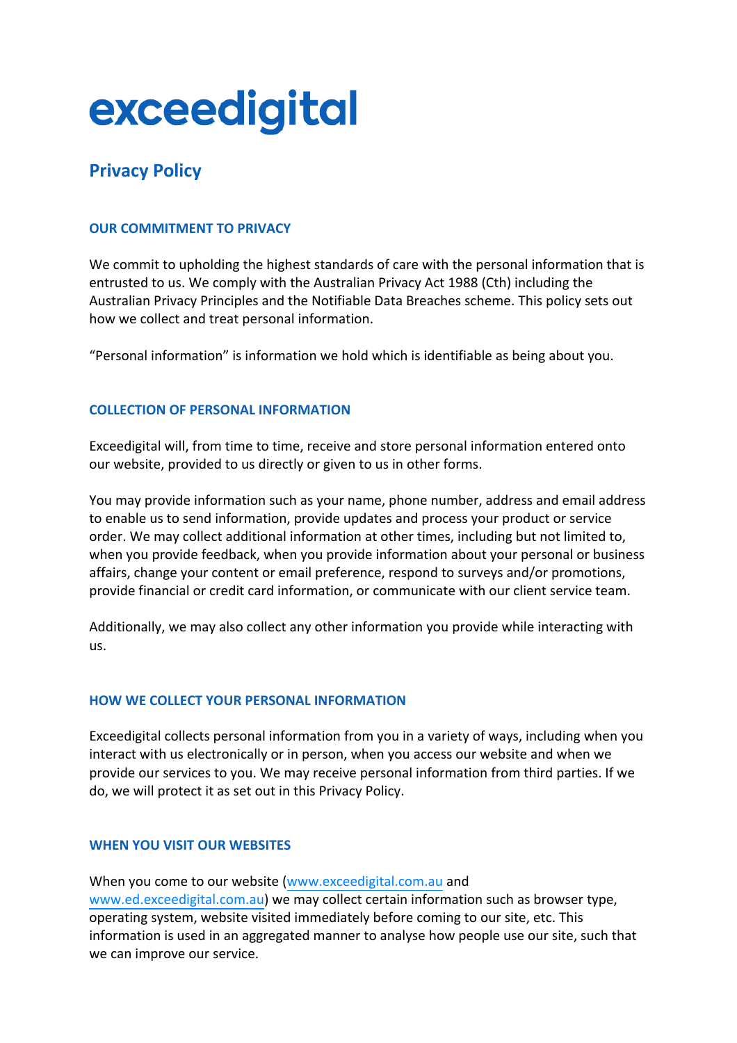# exceedigital

# **Privacy Policy**

# **OUR COMMITMENT TO PRIVACY**

We commit to upholding the highest standards of care with the personal information that is entrusted to us. We comply with the Australian Privacy Act 1988 (Cth) including the Australian Privacy Principles and the Notifiable Data Breaches scheme. This policy sets out how we collect and treat personal information.

"Personal information" is information we hold which is identifiable as being about you.

#### **COLLECTION OF PERSONAL INFORMATION**

Exceedigital will, from time to time, receive and store personal information entered onto our website, provided to us directly or given to us in other forms.

You may provide information such as your name, phone number, address and email address to enable us to send information, provide updates and process your product or service order. We may collect additional information at other times, including but not limited to, when you provide feedback, when you provide information about your personal or business affairs, change your content or email preference, respond to surveys and/or promotions, provide financial or credit card information, or communicate with our client service team.

Additionally, we may also collect any other information you provide while interacting with us.

# **HOW WE COLLECT YOUR PERSONAL INFORMATION**

Exceedigital collects personal information from you in a variety of ways, including when you interact with us electronically or in person, when you access our website and when we provide our services to you. We may receive personal information from third parties. If we do, we will protect it as set out in this Privacy Policy.

# **WHEN YOU VISIT OUR WEBSITES**

When you come to our website (www.exceedigital.com.au and www.ed.exceedigital.com.au) we may collect certain information such as browser type, operating system, website visited immediately before coming to our site, etc. This information is used in an aggregated manner to analyse how people use our site, such that we can improve our service.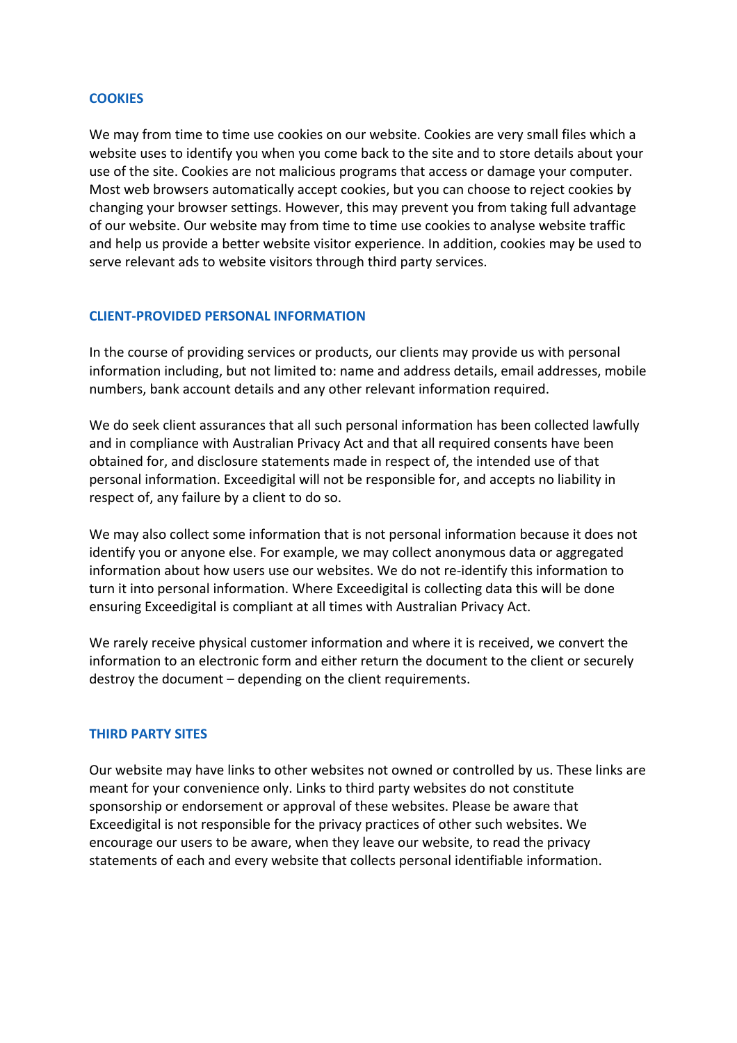#### **COOKIES**

We may from time to time use cookies on our website. Cookies are very small files which a website uses to identify you when you come back to the site and to store details about your use of the site. Cookies are not malicious programs that access or damage your computer. Most web browsers automatically accept cookies, but you can choose to reject cookies by changing your browser settings. However, this may prevent you from taking full advantage of our website. Our website may from time to time use cookies to analyse website traffic and help us provide a better website visitor experience. In addition, cookies may be used to serve relevant ads to website visitors through third party services.

#### **CLIENT-PROVIDED PERSONAL INFORMATION**

In the course of providing services or products, our clients may provide us with personal information including, but not limited to: name and address details, email addresses, mobile numbers, bank account details and any other relevant information required.

We do seek client assurances that all such personal information has been collected lawfully and in compliance with Australian Privacy Act and that all required consents have been obtained for, and disclosure statements made in respect of, the intended use of that personal information. Exceedigital will not be responsible for, and accepts no liability in respect of, any failure by a client to do so.

We may also collect some information that is not personal information because it does not identify you or anyone else. For example, we may collect anonymous data or aggregated information about how users use our websites. We do not re-identify this information to turn it into personal information. Where Exceedigital is collecting data this will be done ensuring Exceedigital is compliant at all times with Australian Privacy Act.

We rarely receive physical customer information and where it is received, we convert the information to an electronic form and either return the document to the client or securely destroy the document – depending on the client requirements.

#### **THIRD PARTY SITES**

Our website may have links to other websites not owned or controlled by us. These links are meant for your convenience only. Links to third party websites do not constitute sponsorship or endorsement or approval of these websites. Please be aware that Exceedigital is not responsible for the privacy practices of other such websites. We encourage our users to be aware, when they leave our website, to read the privacy statements of each and every website that collects personal identifiable information.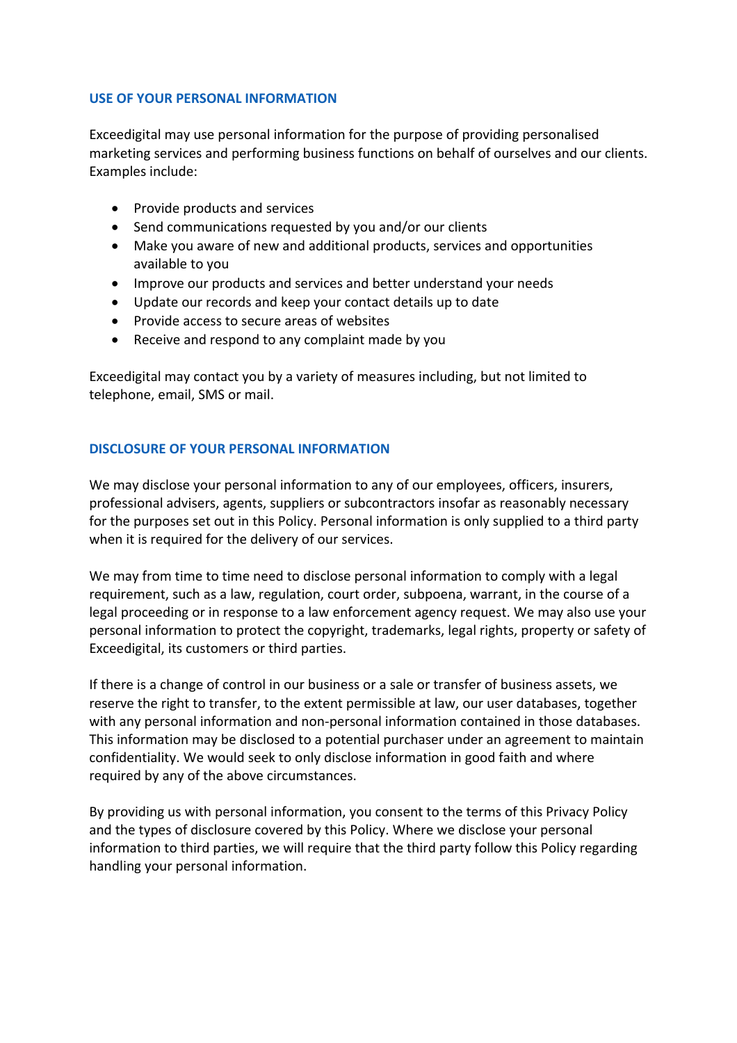#### **USE OF YOUR PERSONAL INFORMATION**

Exceedigital may use personal information for the purpose of providing personalised marketing services and performing business functions on behalf of ourselves and our clients. Examples include:

- Provide products and services
- Send communications requested by you and/or our clients
- Make you aware of new and additional products, services and opportunities available to you
- Improve our products and services and better understand your needs
- Update our records and keep your contact details up to date
- Provide access to secure areas of websites
- Receive and respond to any complaint made by you

Exceedigital may contact you by a variety of measures including, but not limited to telephone, email, SMS or mail.

#### **DISCLOSURE OF YOUR PERSONAL INFORMATION**

We may disclose your personal information to any of our employees, officers, insurers, professional advisers, agents, suppliers or subcontractors insofar as reasonably necessary for the purposes set out in this Policy. Personal information is only supplied to a third party when it is required for the delivery of our services.

We may from time to time need to disclose personal information to comply with a legal requirement, such as a law, regulation, court order, subpoena, warrant, in the course of a legal proceeding or in response to a law enforcement agency request. We may also use your personal information to protect the copyright, trademarks, legal rights, property or safety of Exceedigital, its customers or third parties.

If there is a change of control in our business or a sale or transfer of business assets, we reserve the right to transfer, to the extent permissible at law, our user databases, together with any personal information and non-personal information contained in those databases. This information may be disclosed to a potential purchaser under an agreement to maintain confidentiality. We would seek to only disclose information in good faith and where required by any of the above circumstances.

By providing us with personal information, you consent to the terms of this Privacy Policy and the types of disclosure covered by this Policy. Where we disclose your personal information to third parties, we will require that the third party follow this Policy regarding handling your personal information.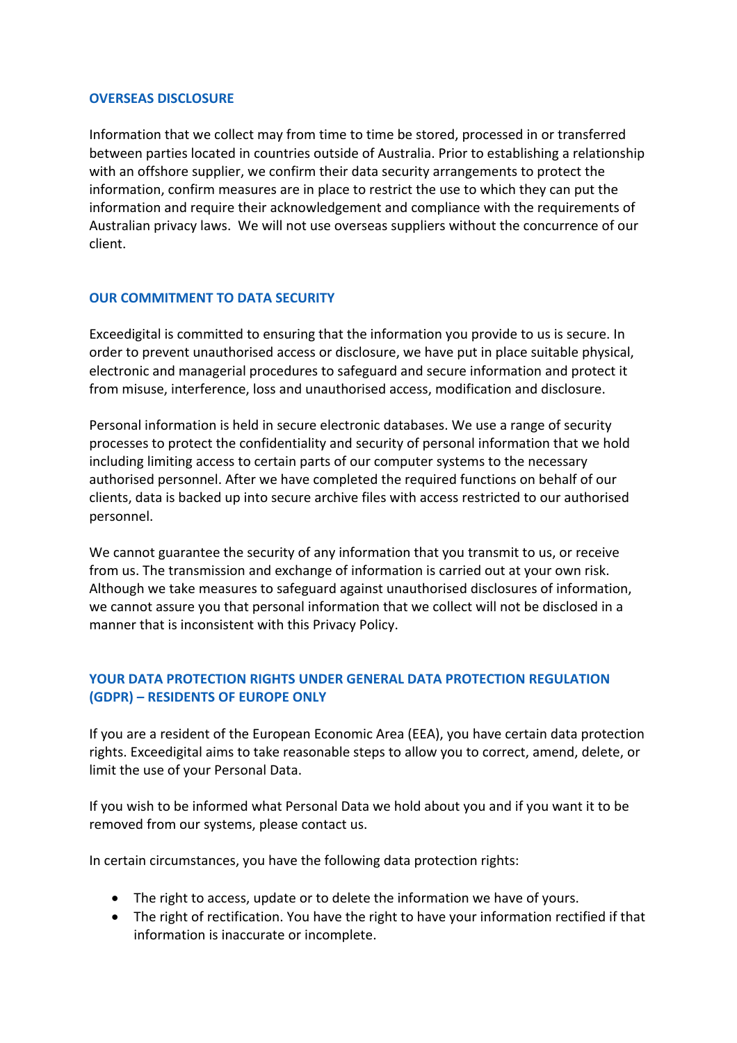#### **OVERSEAS DISCLOSURE**

Information that we collect may from time to time be stored, processed in or transferred between parties located in countries outside of Australia. Prior to establishing a relationship with an offshore supplier, we confirm their data security arrangements to protect the information, confirm measures are in place to restrict the use to which they can put the information and require their acknowledgement and compliance with the requirements of Australian privacy laws. We will not use overseas suppliers without the concurrence of our client.

#### **OUR COMMITMENT TO DATA SECURITY**

Exceedigital is committed to ensuring that the information you provide to us is secure. In order to prevent unauthorised access or disclosure, we have put in place suitable physical, electronic and managerial procedures to safeguard and secure information and protect it from misuse, interference, loss and unauthorised access, modification and disclosure.

Personal information is held in secure electronic databases. We use a range of security processes to protect the confidentiality and security of personal information that we hold including limiting access to certain parts of our computer systems to the necessary authorised personnel. After we have completed the required functions on behalf of our clients, data is backed up into secure archive files with access restricted to our authorised personnel.

We cannot guarantee the security of any information that you transmit to us, or receive from us. The transmission and exchange of information is carried out at your own risk. Although we take measures to safeguard against unauthorised disclosures of information, we cannot assure you that personal information that we collect will not be disclosed in a manner that is inconsistent with this Privacy Policy.

# **YOUR DATA PROTECTION RIGHTS UNDER GENERAL DATA PROTECTION REGULATION (GDPR) – RESIDENTS OF EUROPE ONLY**

If you are a resident of the European Economic Area (EEA), you have certain data protection rights. Exceedigital aims to take reasonable steps to allow you to correct, amend, delete, or limit the use of your Personal Data.

If you wish to be informed what Personal Data we hold about you and if you want it to be removed from our systems, please contact us.

In certain circumstances, you have the following data protection rights:

- The right to access, update or to delete the information we have of yours.
- The right of rectification. You have the right to have your information rectified if that information is inaccurate or incomplete.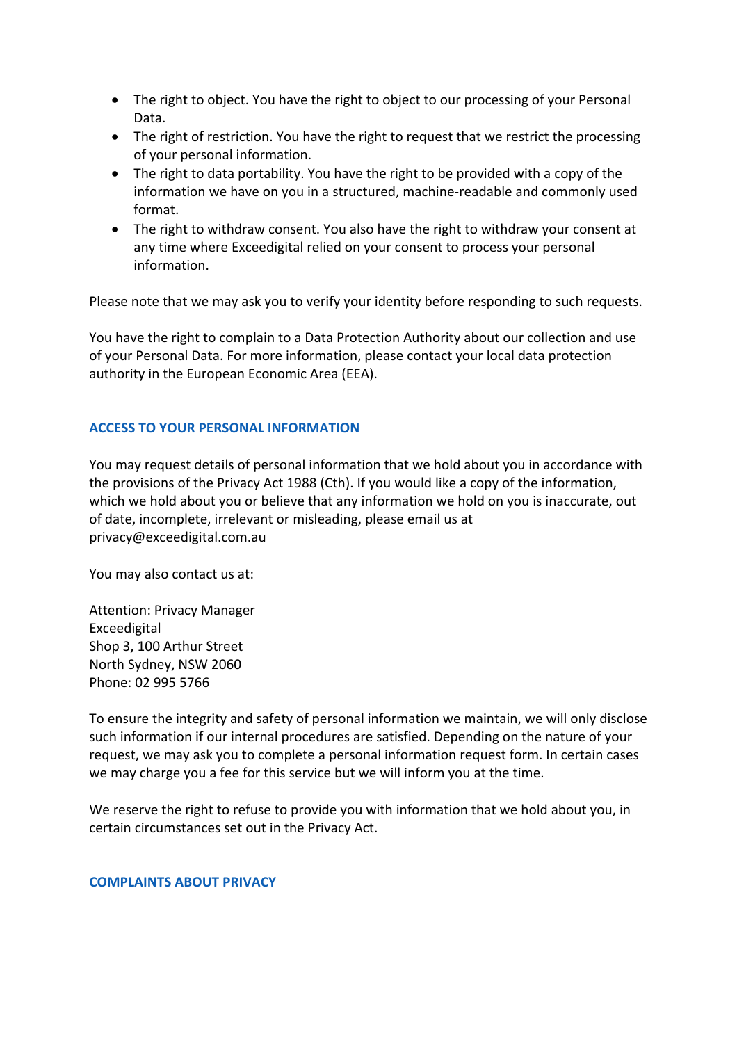- The right to object. You have the right to object to our processing of your Personal Data.
- The right of restriction. You have the right to request that we restrict the processing of your personal information.
- The right to data portability. You have the right to be provided with a copy of the information we have on you in a structured, machine-readable and commonly used format.
- The right to withdraw consent. You also have the right to withdraw your consent at any time where Exceedigital relied on your consent to process your personal information.

Please note that we may ask you to verify your identity before responding to such requests.

You have the right to complain to a Data Protection Authority about our collection and use of your Personal Data. For more information, please contact your local data protection authority in the European Economic Area (EEA).

#### **ACCESS TO YOUR PERSONAL INFORMATION**

You may request details of personal information that we hold about you in accordance with the provisions of the Privacy Act 1988 (Cth). If you would like a copy of the information, which we hold about you or believe that any information we hold on you is inaccurate, out of date, incomplete, irrelevant or misleading, please email us at privacy@exceedigital.com.au

You may also contact us at:

Attention: Privacy Manager Exceedigital Shop 3, 100 Arthur Street North Sydney, NSW 2060 Phone: 02 995 5766

To ensure the integrity and safety of personal information we maintain, we will only disclose such information if our internal procedures are satisfied. Depending on the nature of your request, we may ask you to complete a personal information request form. In certain cases we may charge you a fee for this service but we will inform you at the time.

We reserve the right to refuse to provide you with information that we hold about you, in certain circumstances set out in the Privacy Act.

#### **COMPLAINTS ABOUT PRIVACY**